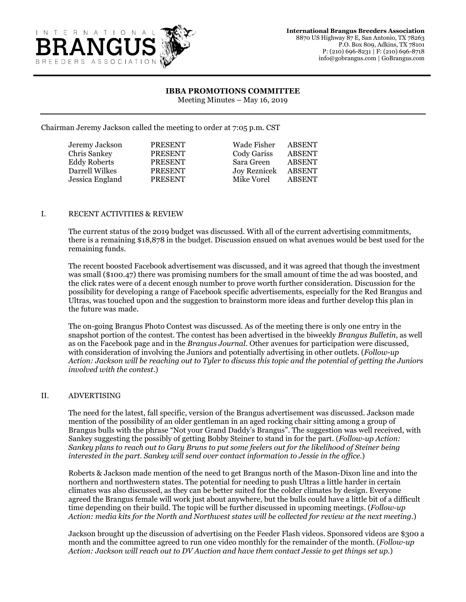

## **IBBA PROMOTIONS COMMITTEE**

Meeting Minutes – May 16, 2019

Chairman Jeremy Jackson called the meeting to order at 7:05 p.m. CST

| Jeremy Jackson      | <b>PRESENT</b> | Wade Fisher         | <b>ABSENT</b> |
|---------------------|----------------|---------------------|---------------|
| Chris Sankey        | <b>PRESENT</b> | Cody Gariss         | <b>ABSENT</b> |
| <b>Eddy Roberts</b> | <b>PRESENT</b> | Sara Green          | <b>ABSENT</b> |
| Darrell Wilkes      | <b>PRESENT</b> | <b>Joy Reznicek</b> | <b>ABSENT</b> |
| Jessica England     | <b>PRESENT</b> | Mike Vorel          | <b>ABSENT</b> |
|                     |                |                     |               |

## I. RECENT ACTIVITIES & REVIEW

The current status of the 2019 budget was discussed. With all of the current advertising commitments, there is a remaining \$18,878 in the budget. Discussion ensued on what avenues would be best used for the remaining funds.

The recent boosted Facebook advertisement was discussed, and it was agreed that though the investment was small (\$100.47) there was promising numbers for the small amount of time the ad was boosted, and the click rates were of a decent enough number to prove worth further consideration. Discussion for the possibility for developing a range of Facebook specific advertisements, especially for the Red Brangus and Ultras, was touched upon and the suggestion to brainstorm more ideas and further develop this plan in the future was made.

The on-going Brangus Photo Contest was discussed. As of the meeting there is only one entry in the snapshot portion of the contest. The contest has been advertised in the biweekly *Brangus Bulletin*, as well as on the Facebook page and in the *Brangus Journal*. Other avenues for participation were discussed, with consideration of involving the Juniors and potentially advertising in other outlets. (*Follow-up Action: Jackson will be reaching out to Tyler to discuss this topic and the potential of getting the Juniors involved with the contest*.)

## II. ADVERTISING

The need for the latest, fall specific, version of the Brangus advertisement was discussed. Jackson made mention of the possibility of an older gentleman in an aged rocking chair sitting among a group of Brangus bulls with the phrase "Not your Grand Daddy's Brangus". The suggestion was well received, with Sankey suggesting the possibly of getting Bobby Steiner to stand in for the part. (*Follow-up Action: Sankey plans to reach out to Gary Bruns to put some feelers out for the likelihood of Steiner being interested in the part. Sankey will send over contact information to Jessie in the office.*)

Roberts & Jackson made mention of the need to get Brangus north of the Mason-Dixon line and into the northern and northwestern states. The potential for needing to push Ultras a little harder in certain climates was also discussed, as they can be better suited for the colder climates by design. Everyone agreed the Brangus female will work just about anywhere, but the bulls could have a little bit of a difficult time depending on their build. The topic will be further discussed in upcoming meetings. (*Follow-up Action: media kits for the North and Northwest states will be collected for review at the next meeting.*)

Jackson brought up the discussion of advertising on the Feeder Flash videos. Sponsored videos are \$300 a month and the committee agreed to run one video monthly for the remainder of the month. (*Follow-up Action: Jackson will reach out to DV Auction and have them contact Jessie to get things set up.*)